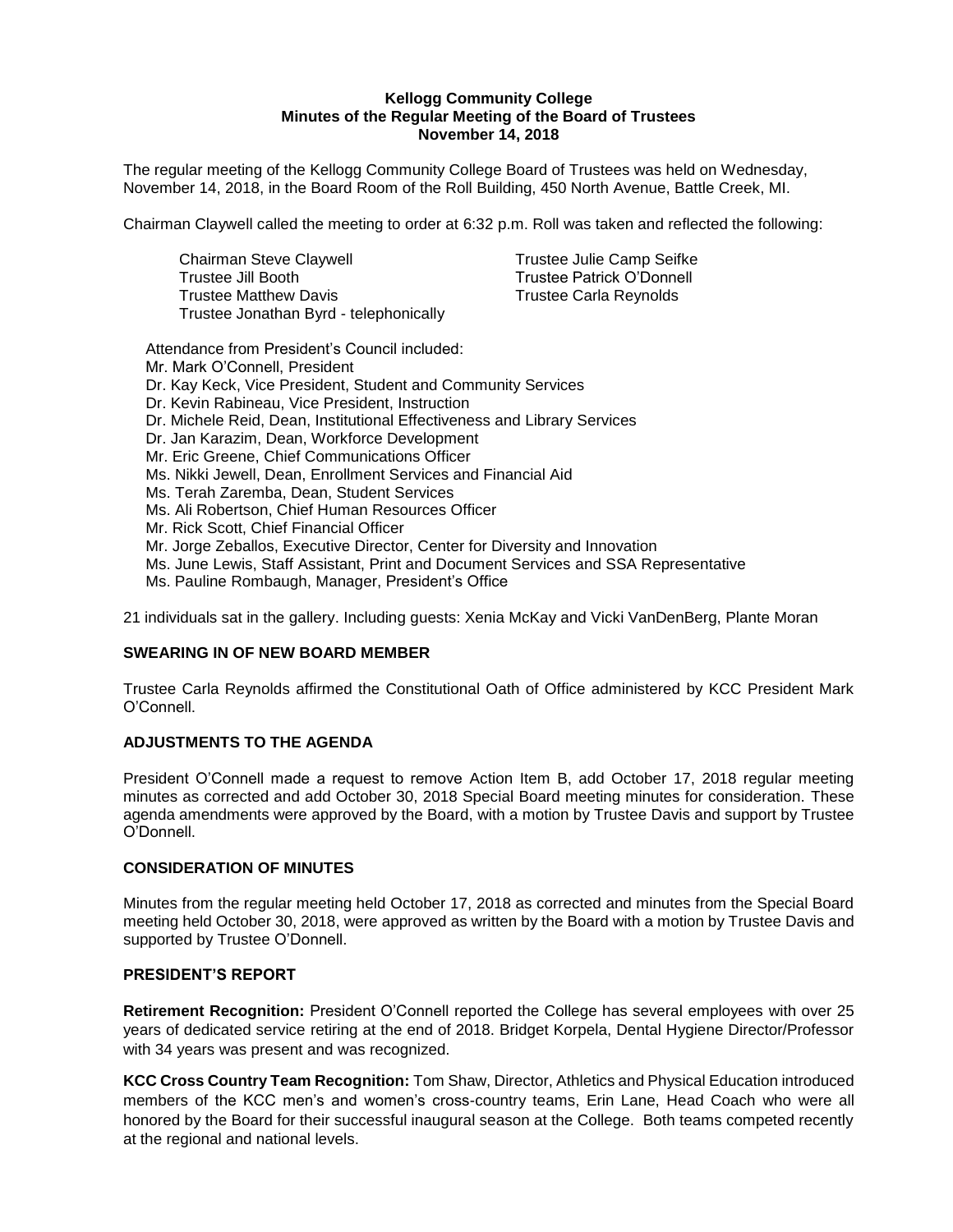#### **Kellogg Community College Minutes of the Regular Meeting of the Board of Trustees November 14, 2018**

The regular meeting of the Kellogg Community College Board of Trustees was held on Wednesday, November 14, 2018, in the Board Room of the Roll Building, 450 North Avenue, Battle Creek, MI.

Chairman Claywell called the meeting to order at 6:32 p.m. Roll was taken and reflected the following:

| Chairman Steve Claywell                | Trustee Julie Camp Seifke     |
|----------------------------------------|-------------------------------|
| Trustee Jill Booth                     | Trustee Patrick O'Donnell     |
| <b>Trustee Matthew Davis</b>           | <b>Trustee Carla Reynolds</b> |
| Trustee Jonathan Byrd - telephonically |                               |

Attendance from President's Council included: Mr. Mark O'Connell, President Dr. Kay Keck, Vice President, Student and Community Services Dr. Kevin Rabineau, Vice President, Instruction Dr. Michele Reid, Dean, Institutional Effectiveness and Library Services Dr. Jan Karazim, Dean, Workforce Development Mr. Eric Greene, Chief Communications Officer Ms. Nikki Jewell, Dean, Enrollment Services and Financial Aid Ms. Terah Zaremba, Dean, Student Services Ms. Ali Robertson, Chief Human Resources Officer Mr. Rick Scott, Chief Financial Officer Mr. Jorge Zeballos, Executive Director, Center for Diversity and Innovation Ms. June Lewis, Staff Assistant, Print and Document Services and SSA Representative Ms. Pauline Rombaugh, Manager, President's Office

21 individuals sat in the gallery. Including guests: Xenia McKay and Vicki VanDenBerg, Plante Moran

#### **SWEARING IN OF NEW BOARD MEMBER**

Trustee Carla Reynolds affirmed the Constitutional Oath of Office administered by KCC President Mark O'Connell.

#### **ADJUSTMENTS TO THE AGENDA**

President O'Connell made a request to remove Action Item B, add October 17, 2018 regular meeting minutes as corrected and add October 30, 2018 Special Board meeting minutes for consideration. These agenda amendments were approved by the Board, with a motion by Trustee Davis and support by Trustee O'Donnell.

#### **CONSIDERATION OF MINUTES**

Minutes from the regular meeting held October 17, 2018 as corrected and minutes from the Special Board meeting held October 30, 2018, were approved as written by the Board with a motion by Trustee Davis and supported by Trustee O'Donnell.

## **PRESIDENT'S REPORT**

**Retirement Recognition:** President O'Connell reported the College has several employees with over 25 years of dedicated service retiring at the end of 2018. Bridget Korpela, Dental Hygiene Director/Professor with 34 years was present and was recognized.

**KCC Cross Country Team Recognition:** Tom Shaw, Director, Athletics and Physical Education introduced members of the KCC men's and women's cross-country teams, Erin Lane, Head Coach who were all honored by the Board for their successful inaugural season at the College. Both teams competed recently at the regional and national levels.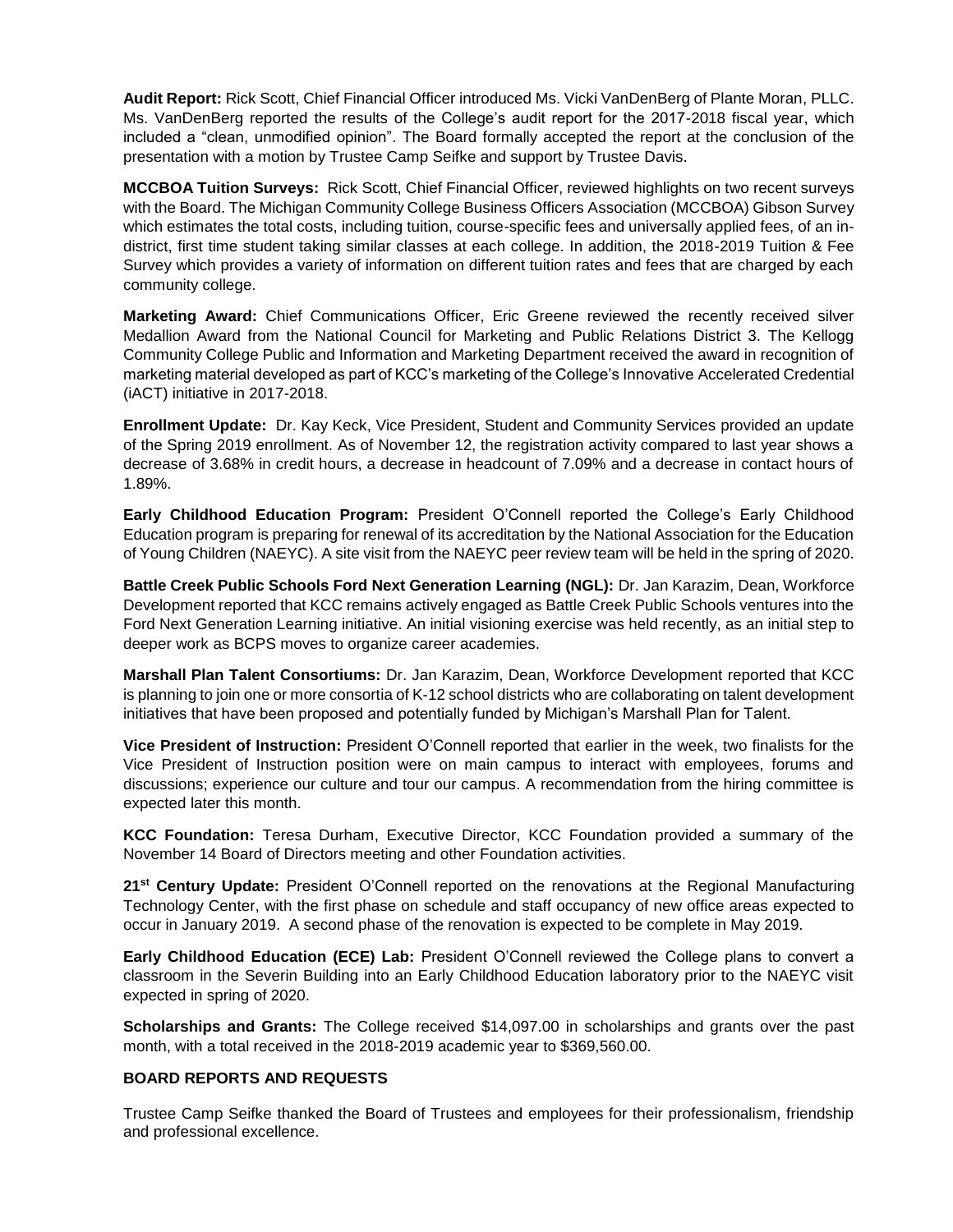**Audit Report:** Rick Scott, Chief Financial Officer introduced Ms. Vicki VanDenBerg of Plante Moran, PLLC. Ms. VanDenBerg reported the results of the College's audit report for the 2017-2018 fiscal year, which included a "clean, unmodified opinion". The Board formally accepted the report at the conclusion of the presentation with a motion by Trustee Camp Seifke and support by Trustee Davis.

**MCCBOA Tuition Surveys:** Rick Scott, Chief Financial Officer, reviewed highlights on two recent surveys with the Board. The Michigan Community College Business Officers Association (MCCBOA) Gibson Survey which estimates the total costs, including tuition, course-specific fees and universally applied fees, of an indistrict, first time student taking similar classes at each college. In addition, the 2018-2019 Tuition & Fee Survey which provides a variety of information on different tuition rates and fees that are charged by each community college.

**Marketing Award:** Chief Communications Officer, Eric Greene reviewed the recently received silver Medallion Award from the National Council for Marketing and Public Relations District 3. The Kellogg Community College Public and Information and Marketing Department received the award in recognition of marketing material developed as part of KCC's marketing of the College's Innovative Accelerated Credential (iACT) initiative in 2017-2018.

**Enrollment Update:** Dr. Kay Keck, Vice President, Student and Community Services provided an update of the Spring 2019 enrollment. As of November 12, the registration activity compared to last year shows a decrease of 3.68% in credit hours, a decrease in headcount of 7.09% and a decrease in contact hours of 1.89%.

**Early Childhood Education Program:** President O'Connell reported the College's Early Childhood Education program is preparing for renewal of its accreditation by the National Association for the Education of Young Children (NAEYC). A site visit from the NAEYC peer review team will be held in the spring of 2020.

**Battle Creek Public Schools Ford Next Generation Learning (NGL):** Dr. Jan Karazim, Dean, Workforce Development reported that KCC remains actively engaged as Battle Creek Public Schools ventures into the Ford Next Generation Learning initiative. An initial visioning exercise was held recently, as an initial step to deeper work as BCPS moves to organize career academies.

**Marshall Plan Talent Consortiums:** Dr. Jan Karazim, Dean, Workforce Development reported that KCC is planning to join one or more consortia of K-12 school districts who are collaborating on talent development initiatives that have been proposed and potentially funded by Michigan's Marshall Plan for Talent.

**Vice President of Instruction:** President O'Connell reported that earlier in the week, two finalists for the Vice President of Instruction position were on main campus to interact with employees, forums and discussions; experience our culture and tour our campus. A recommendation from the hiring committee is expected later this month.

**KCC Foundation:** Teresa Durham, Executive Director, KCC Foundation provided a summary of the November 14 Board of Directors meeting and other Foundation activities.

**21st Century Update:** President O'Connell reported on the renovations at the Regional Manufacturing Technology Center, with the first phase on schedule and staff occupancy of new office areas expected to occur in January 2019. A second phase of the renovation is expected to be complete in May 2019.

**Early Childhood Education (ECE) Lab:** President O'Connell reviewed the College plans to convert a classroom in the Severin Building into an Early Childhood Education laboratory prior to the NAEYC visit expected in spring of 2020.

**Scholarships and Grants:** The College received \$14,097.00 in scholarships and grants over the past month, with a total received in the 2018-2019 academic year to \$369,560.00.

## **BOARD REPORTS AND REQUESTS**

Trustee Camp Seifke thanked the Board of Trustees and employees for their professionalism, friendship and professional excellence.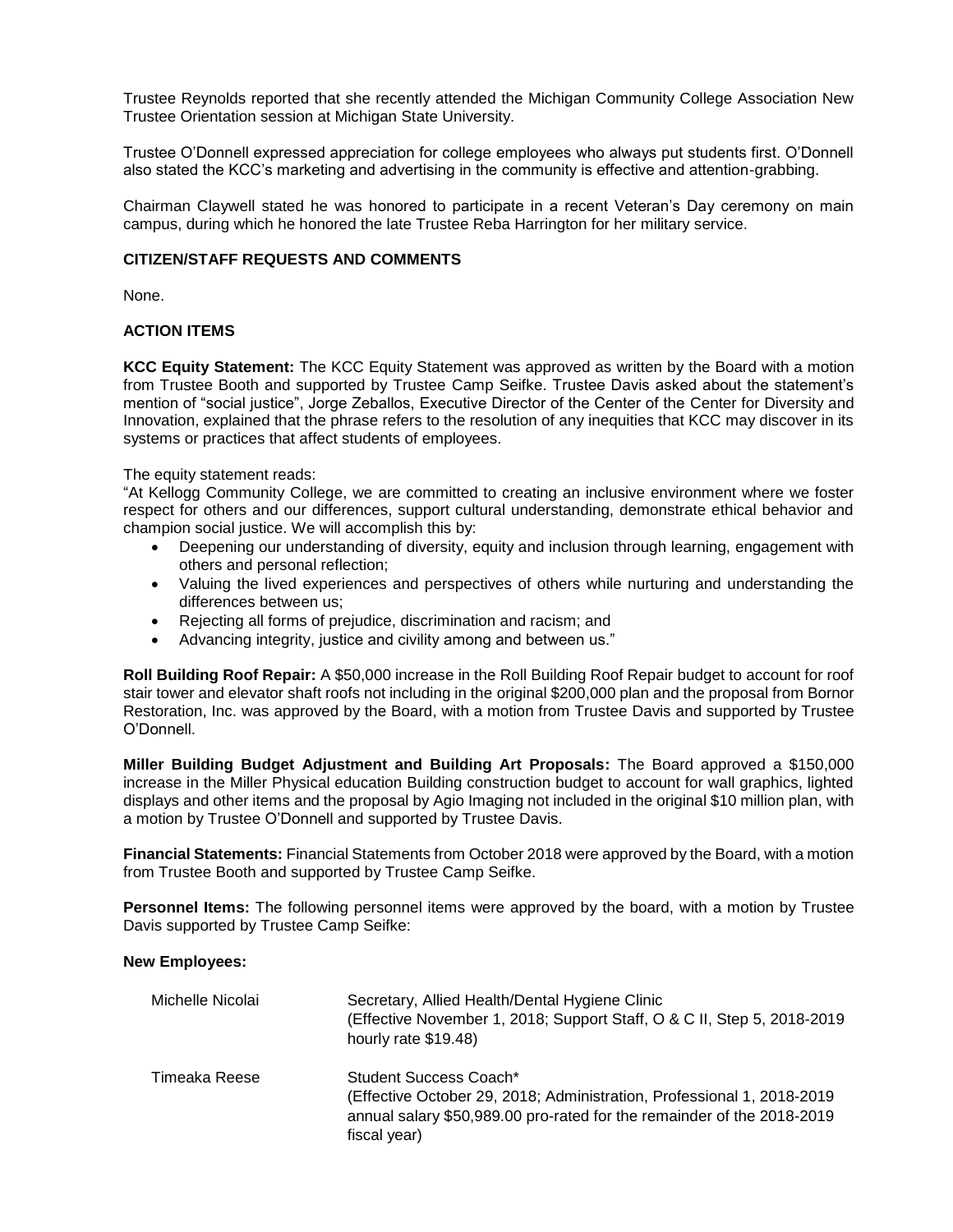Trustee Reynolds reported that she recently attended the Michigan Community College Association New Trustee Orientation session at Michigan State University.

Trustee O'Donnell expressed appreciation for college employees who always put students first. O'Donnell also stated the KCC's marketing and advertising in the community is effective and attention-grabbing.

Chairman Claywell stated he was honored to participate in a recent Veteran's Day ceremony on main campus, during which he honored the late Trustee Reba Harrington for her military service.

#### **CITIZEN/STAFF REQUESTS AND COMMENTS**

None.

## **ACTION ITEMS**

**KCC Equity Statement:** The KCC Equity Statement was approved as written by the Board with a motion from Trustee Booth and supported by Trustee Camp Seifke. Trustee Davis asked about the statement's mention of "social justice", Jorge Zeballos, Executive Director of the Center of the Center for Diversity and Innovation, explained that the phrase refers to the resolution of any inequities that KCC may discover in its systems or practices that affect students of employees.

The equity statement reads:

"At Kellogg Community College, we are committed to creating an inclusive environment where we foster respect for others and our differences, support cultural understanding, demonstrate ethical behavior and champion social justice. We will accomplish this by:

- Deepening our understanding of diversity, equity and inclusion through learning, engagement with others and personal reflection;
- Valuing the lived experiences and perspectives of others while nurturing and understanding the differences between us;
- Rejecting all forms of prejudice, discrimination and racism; and
- Advancing integrity, justice and civility among and between us."

**Roll Building Roof Repair:** A \$50,000 increase in the Roll Building Roof Repair budget to account for roof stair tower and elevator shaft roofs not including in the original \$200,000 plan and the proposal from Bornor Restoration, Inc. was approved by the Board, with a motion from Trustee Davis and supported by Trustee O'Donnell.

**Miller Building Budget Adjustment and Building Art Proposals:** The Board approved a \$150,000 increase in the Miller Physical education Building construction budget to account for wall graphics, lighted displays and other items and the proposal by Agio Imaging not included in the original \$10 million plan, with a motion by Trustee O'Donnell and supported by Trustee Davis.

**Financial Statements:** Financial Statements from October 2018 were approved by the Board, with a motion from Trustee Booth and supported by Trustee Camp Seifke.

**Personnel Items:** The following personnel items were approved by the board, with a motion by Trustee Davis supported by Trustee Camp Seifke:

#### **New Employees:**

| Michelle Nicolai | Secretary, Allied Health/Dental Hygiene Clinic<br>(Effective November 1, 2018; Support Staff, O & C II, Step 5, 2018-2019<br>hourly rate \$19.48)                                          |
|------------------|--------------------------------------------------------------------------------------------------------------------------------------------------------------------------------------------|
| Timeaka Reese    | Student Success Coach*<br>(Effective October 29, 2018; Administration, Professional 1, 2018-2019<br>annual salary \$50,989.00 pro-rated for the remainder of the 2018-2019<br>fiscal year) |